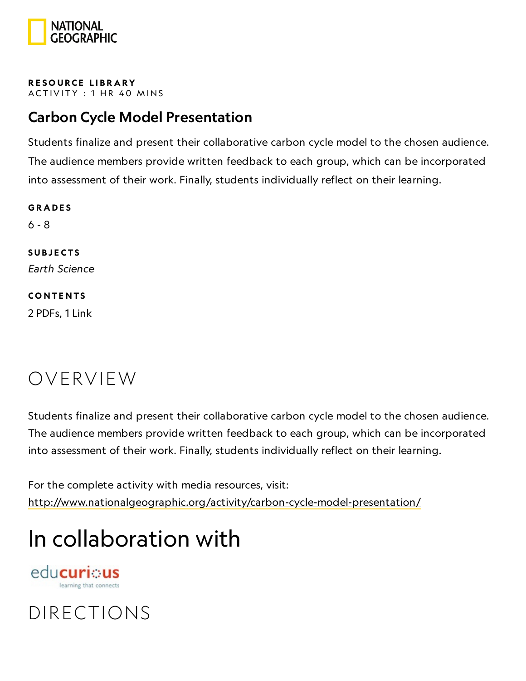

RESOURCE LIBRA[RY](https://www.nationalgeographic.org/education/resource-library/) ACTIVITY: 1 HR 40 MINS

### Carbon Cycle Model Presentation

Students finalize and present their collaborative carbon cycle model to the chosen audience. The audience members provide written feedback to each group, which can be incorporated into assessment of their work. Finally, students individually reflect on their learning.

**GRADES** 6 - 8 **SUBJECTS** Earth Science **CONTENTS** 2 PDFs, 1 Link

### OVERVIEW

Students finalize and present their collaborative carbon cycle model to the chosen audience. The audience members provide written feedback to each group, which can be incorporated into assessment of their work. Finally, students individually reflect on their learning.

For the complete activity with media resources, visit: <http://www.nationalgeographic.org/activity/carbon-cycle-model-presentation/>

### In collaboration with

edu**curi**: us learning that connects

### DIRECTIONS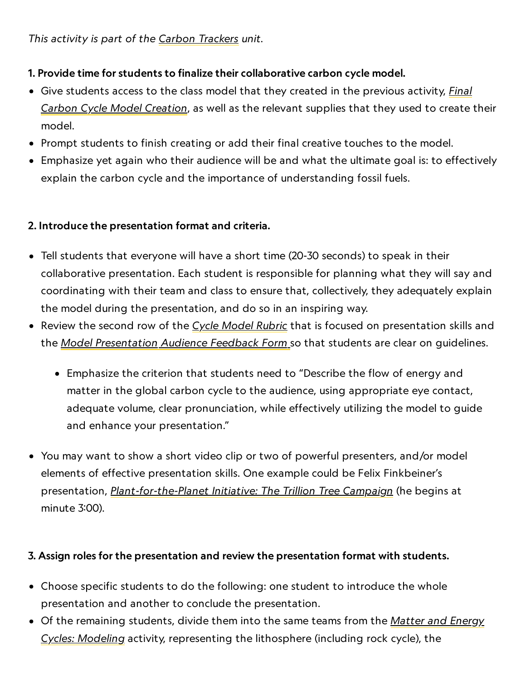#### 1. Provide time for students to finalize their collaborative carbon cycle model.

- Give [students](https://www.nationalgeographic.org/activity/final-carbon-cycle-model-creation/) access to the class model that they created in the previous activity, *Final* Carbon Cycle Model Creation, as well as the relevant supplies that they used to create their model.
- Prompt students to finish creating or add their final creative touches to the model.
- Emphasize yet again who their audience will be and what the ultimate goal is: to effectively explain the carbon cycle and the importance of understanding fossil fuels.

#### 2. Introduce the presentation format and criteria.

- Tell students that everyone will have a short time (20-30 seconds) to speak in their collaborative presentation. Each student is responsible for planning what they will say and coordinating with their team and class to ensure that, collectively, they adequately explain the model during the presentation, and do so in an inspiring way.
- Review the second row of the Cycle [Model](https://media.nationalgeographic.org/assets/file/CycleModelRubric.pdf) Rubric that is focused on presentation skills and the <u>Model [Presentation](https://media.nationalgeographic.org/assets/file/ModelPresentationAudienceFeedbackForm.pdf) Audience Feedback Form</u> so that students are clear on guidelines.
	- Emphasize the criterion that students need to "Describe the flow of energy and matter in the global carbon cycle to the audience, using appropriate eye contact, adequate volume, clear pronunciation, while effectively utilizing the model to guide and enhance your presentation."
- You may want to show a short video clip or two of powerful presenters, and/or model elements of effective presentation skills. One example could be Felix Finkbeiner's presentation, *[Plant-for-the-Planet](https://www.esri.com/videos/watch?videoid=0uQUf2th15E&title=plant-for-the-planet-initiative-the-trillion-tree-campaign) Initiative: The Trillion Tree Campaign* (he begins at minute  $3:00$ ).

#### 3. Assign roles for the presentation and review the presentation format with students.

- Choose specific students to do the following: one student to introduce the whole presentation and another to conclude the presentation.
- Of the remaining students, divide them into the same teams from the Matter and Energy Cycles: Modeling [activity, representing](https://www.nationalgeographic.org/activity/matter-and-energy-cycles-modeling/) the lithosphere (including rock cycle), the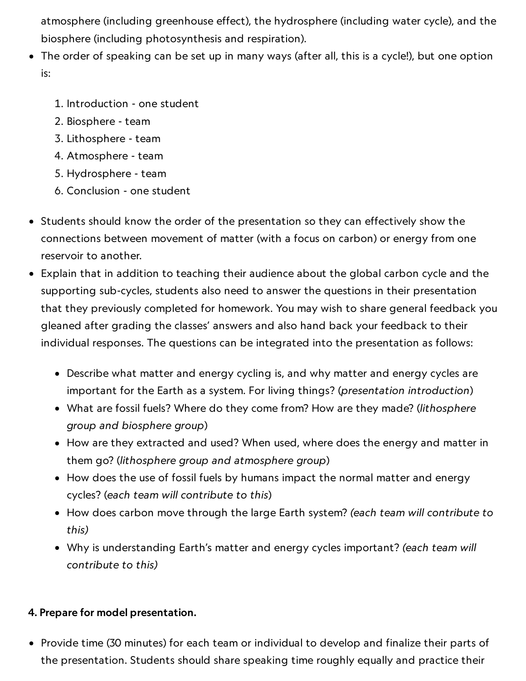atmosphere (including greenhouse effect), the hydrosphere (including water cycle), and the biosphere (including photosynthesis and respiration).

- The order of speaking can be set up in many ways (after all, this is a cycle!), but one option is:
	- . Introduction one student
	- . Biosphere team
	- . Lithosphere team
	- . Atmosphere team
	- . Hydrosphere team
	- . Conclusion one student
- Students should know the order of the presentation so they can effectively show the connections between movement of matter (with a focus on carbon) or energy from one reservoir to another.
- Explain that in addition to teaching their audience about the global carbon cycle and the supporting sub-cycles, students also need to answer the questions in their presentation that they previously completed for homework. You may wish to share general feedback you gleaned after grading the classes' answers and also hand back your feedback to their individual responses. The questions can be integrated into the presentation as follows:
	- Describe what matter and energy cycling is, and why matter and energy cycles are important for the Earth as a system. For living things? (presentation introduction)
	- What are fossil fuels? Where do they come from? How are they made? (lithosphere group and biosphere group)
	- How are they extracted and used? When used, where does the energy and matter in them go? (lithosphere group and atmosphere group)
	- How does the use of fossil fuels by humans impact the normal matter and energy cycles? (each team will contribute to this)
	- How does carbon move through the large Earth system? (each team will contribute to this)
	- Why is understanding Earth's matter and energy cycles important? (each team will contribute to this)

#### 4. Prepare for model presentation.

• Provide time (30 minutes) for each team or individual to develop and finalize their parts of the presentation. Students should share speaking time roughly equally and practice their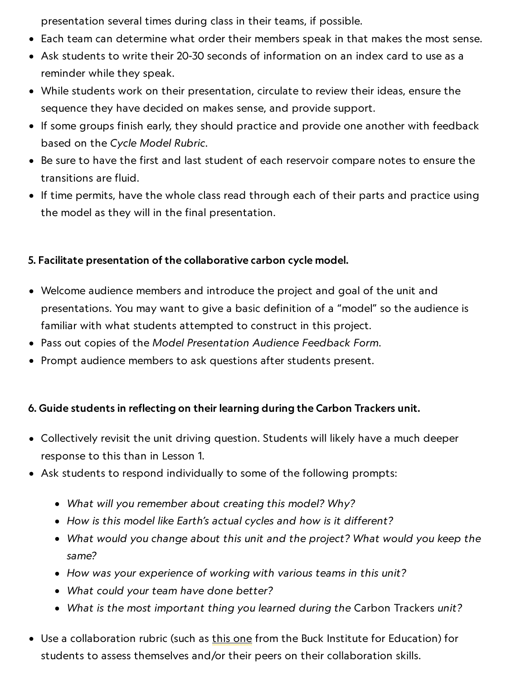presentation several times during class in their teams, if possible.

- Each team can determine what order their members speak in that makes the most sense.
- Ask students to write their 20-30 seconds of information on an index card to use as a reminder while they speak.
- While students work on their presentation, circulate to review their ideas, ensure the sequence they have decided on makes sense, and provide support.
- If some groups finish early, they should practice and provide one another with feedback based on the Cycle Model Rubric.
- Be sure to have the first and last student of each reservoir compare notes to ensure the transitions are fluid.
- If time permits, have the whole class read through each of their parts and practice using the model as they will in the final presentation.

#### 5. Facilitate presentation of the collaborative carbon cycle model.

- Welcome audience members and introduce the project and goal of the unit and presentations. You may want to give a basic definition of a "model" so the audience is familiar with what students attempted to construct in this project.
- Pass out copies of the Model Presentation Audience Feedback Form.
- Prompt audience members to ask questions after students present.

#### 6. Guide students in reflecting on their learning during the Carbon Trackers unit.

- Collectively revisit the unit driving question. Students will likely have a much deeper response to this than in Lesson 1.
- Ask students to respond individually to some of the following prompts:
	- What will you remember about creating this model? Why?
	- How is this model like Earth's actual cycles and how is it different?
	- What would you change about this unit and the project? What would you keep the same?
	- How was your experience of working with various teams in this unit?
	- What could your team have done better?
	- What is the most important thing you learned during the Carbon Trackers unit?
- Use a collaboration rubric (such as this [one](https://my.pblworks.org/resource/document/6_12_collaboration_rubric_ccss_aligned) from the Buck Institute for Education) for students to assess themselves and/or their peers on their collaboration skills.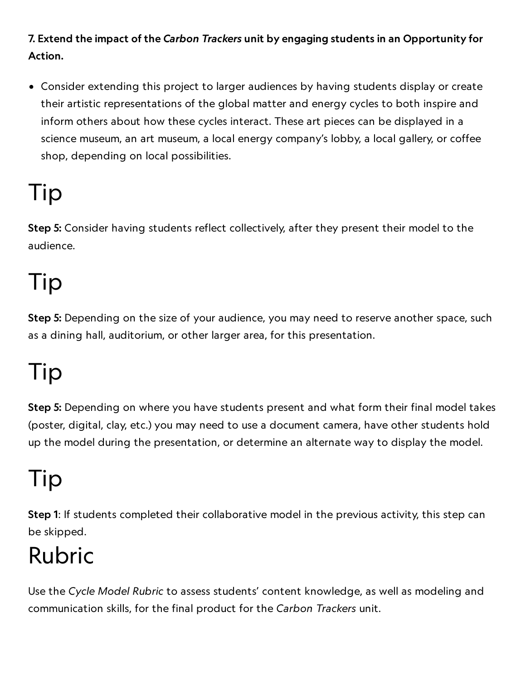7. Extend the impact of the Carbon Trackers unit by engaging students in an Opportunity for Action.

Consider extending this project to larger audiences by having students display or create their artistic representations of the global matter and energy cycles to both inspire and inform others about how these cycles interact. These art pieces can be displayed in a science museum, an art museum, a local energy company's lobby, a local gallery, or coffee shop, depending on local possibilities.

### Tip

Step 5: Consider having students reflect collectively, after they present their model to the audience.

## Tip

Step 5: Depending on the size of your audience, you may need to reserve another space, such as a dining hall, auditorium, or other larger area, for this presentation.

# Tip

Step 5: Depending on where you have students present and what form their final model takes (poster, digital, clay, etc.) you may need to use a document camera, have other students hold up the model during the presentation, or determine an alternate way to display the model.

### Tip

Step 1: If students completed their collaborative model in the previous activity, this step can be skipped.

### Rubric

Use the Cycle Model Rubric to assess students' content knowledge, as well as modeling and communication skills, for the final product for the Carbon Trackers unit.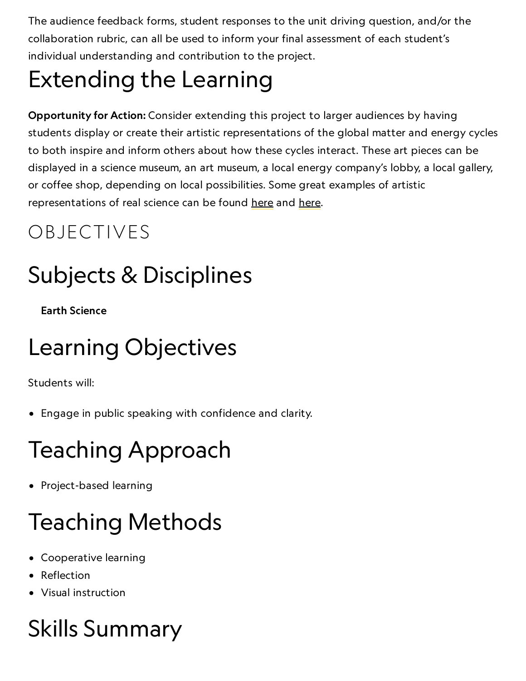The audience feedback forms, student responses to the unit driving question, and/or the collaboration rubric, can all be used to inform your final assessment of each student's individual understanding and contribution to the project.

## Extending the Learning

Opportunity for Action: Consider extending this project to larger audiences by having students display or create their artistic representations of the global matter and energy cycles to both inspire and inform others about how these cycles interact. These art pieces can be displayed in a science museum, an art museum, a local energy company's lobby, a local gallery, or coffee shop, depending on local possibilities. Some great examples of artistic representations of real science can be found [here](https://washedashore.org/) and here.

### OBJECTIVES

## Subjects & Disciplines

Earth Science

### Learning Objectives

Students will:

Engage in public speaking with confidence and clarity.

### Teaching Approach

• Project-based learning

# Teaching Methods

- Cooperative learning
- Reflection
- Visual instruction

# Skills Summary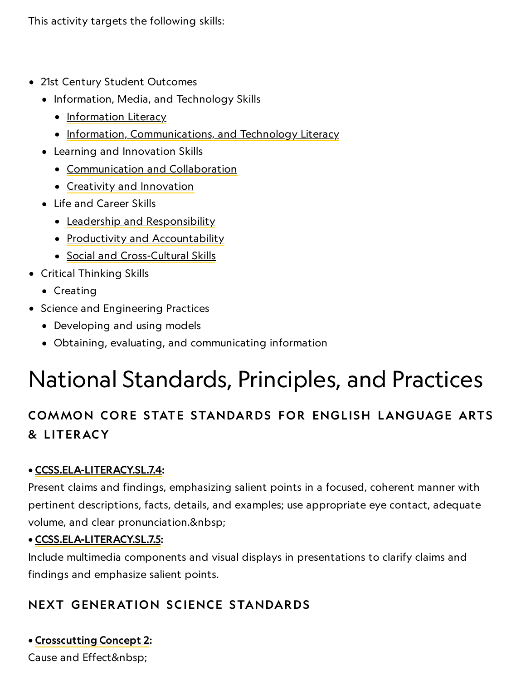This activity targets the following skills:

- 21st Century Student Outcomes
	- Information, Media, and Technology Skills
		- [Information](http://www.p21.org/index.php?option=com_content&task=view&id=264&Itemid=120) Literacy
		- [Information, Communications, and](http://www.p21.org/index.php?option=com_content&task=view&id=350&Itemid=120) Technology Literacy
	- Learning and Innovation Skills
		- [Communication](http://www.p21.org/index.php?option=com_content&task=view&id=261&Itemid=120) and Collaboration
		- Creativity and [Innovation](http://www.p21.org/index.php?option=com_content&task=view&id=262&Itemid=120)
	- Life and Career Skills
		- Leadership and [Responsibility](http://www.p21.org/index.php?option=com_content&task=view&id=266&Itemid=120)
		- Productivity and [Accountability](http://www.p21.org/index.php?option=com_content&task=view&id=266&Itemid=120)
		- Social and [Cross-Cultural](http://www.p21.org/index.php?option=com_content&task=view&id=266&Itemid=120) Skills
- Critical Thinking Skills
	- Creating
- Science and Engineering Practices
	- Developing and using models
	- Obtaining, evaluating, and communicating information

### National Standards, Principles, and Practices

### COMMON CORE STATE STANDARDS FOR ENGLISH LANGUAGE ARTS & L ITERACY

#### • [CCSS.ELA-LITERACY.SL.7.4:](http://www.corestandards.org/ELA-Literacy/SL/7/4/)

Present claims and findings, emphasizing salient points in a focused, coherent manner with pertinent descriptions, facts, details, and examples; use appropriate eye contact, adequate volume, and clear pronunciation.

#### • [CCSS.ELA-LITERACY.SL.7.5](http://www.corestandards.org/ELA-Literacy/SL/7/5/):

Include multimedia components and visual displays in presentations to clarify claims and findings and emphasize salient points.

#### NEXT GENERATION SCIENCE STANDARDS

#### • [Crosscutting](https://ngss.nsta.org/CrosscuttingConcepts.aspx?id=2) Concept 2:

Cause and Effect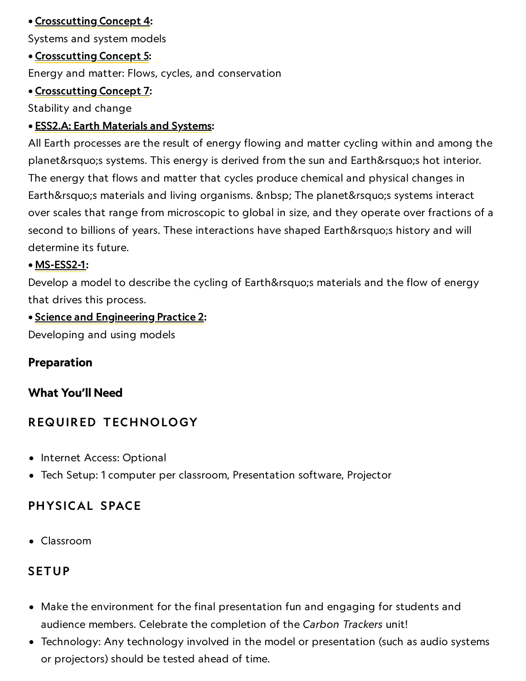#### • [Crosscutting](http://www.nap.edu/openbook.php?record_id=13165&page=91) Concept 4:

Systems and system models

#### • [Crosscutting](http://www.nap.edu/openbook.php?record_id=13165&page=94) Concept 5:

Energy and matter: Flows, cycles, and conservation

#### • [Crosscutting](http://www.nap.edu/read/13165/chapter/8#97) Concept 7:

Stability and change

#### • ESS2.A: Earth [Materials](https://ngss.nsta.org/DisciplinaryCoreIdeas.aspx?id=31) and Systems:

All Earth processes are the result of energy flowing and matter cycling within and among the planet's systems. This energy is derived from the sun and Earth's hot interior. The energy that flows and matter that cycles produce chemical and physical changes in Earth's materials and living organisms. The planet's systems interact over scales that range from microscopic to global in size, and they operate over fractions of a second to billions of years. These interactions have shaped Earth's history and will determine its future.

#### • [MS-ESS2-1](https://www.nextgenscience.org/pe/ms-ess2-1-earths-systems):

Develop a model to describe the cycling of Earth' s materials and the flow of energy that drives this process.

#### • Science and [Engineering](http://www.nap.edu/openbook.php?record_id=13165&page=56) Practice 2:

Developing and using models

#### Preparation

#### What You'll Need

#### REQUIRED TECHNOLOGY

- Internet Access: Optional
- Tech Setup: 1 computer per classroom, Presentation software, Projector

#### PHYSICAL SPACE

Classroom

#### **SETUP**

- Make the environment for the final presentation fun and engaging for students and audience members. Celebrate the completion of the Carbon Trackers unit!
- Technology: Any technology involved in the model or presentation (such as audio systems or projectors) should be tested ahead of time.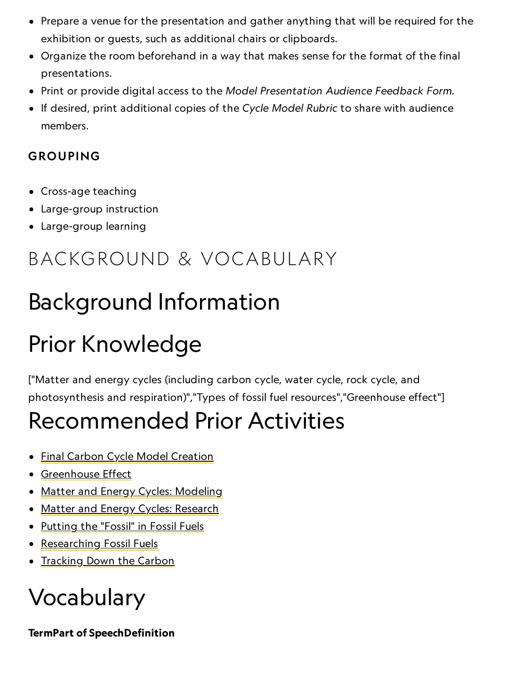- Prepare a venue for the presentation and gather anything that will be required for the exhibition or guests, such as additional chairs or clipboards.
- Organize the room beforehand in a way that makes sense for the format of the final presentations.
- Print or provide digital access to the Model Presentation Audience Feedback Form.
- If desired, print additional copies of the Cycle Model Rubric to share with audience members.

#### GROUPING

- Cross-age teaching
- Large-group instruction
- Large-group learning

### BACKGROUND & VOCABULARY

### Background Information

# Prior Knowledge

["Matter and energy cycles (including carbon cycle, water cycle, rock cycle, and photosynthesis and respiration)","Types of fossil fuel resources","Greenhouse effect"]

### Recommended Prior Activities

- Final Carbon Cycle Model [Creation](https://www.nationalgeographic.org/activity/final-carbon-cycle-model-creation/)
- [Greenhouse](https://www.nationalgeographic.org/activity/greenhouse-effect/) Effect
- Matter and Energy [Cycles: Modeling](https://www.nationalgeographic.org/activity/matter-and-energy-cycles-modeling/)
- Matter and Energy [Cycles: Research](https://www.nationalgeographic.org/activity/matter-and-energy-cycles-research/)
- [Putting](https://www.nationalgeographic.org/activity/putting-fossil-in-fossil-fuels/) the "Fossil" in Fossil Fuels
- [Researching](https://www.nationalgeographic.org/activity/researching-fossil-fuels/) Fossil Fuels
- [Tracking](https://www.nationalgeographic.org/activity/tracking-down-carbon/) Down the Carbon

### Vocabulary

TermPart of SpeechDefinition